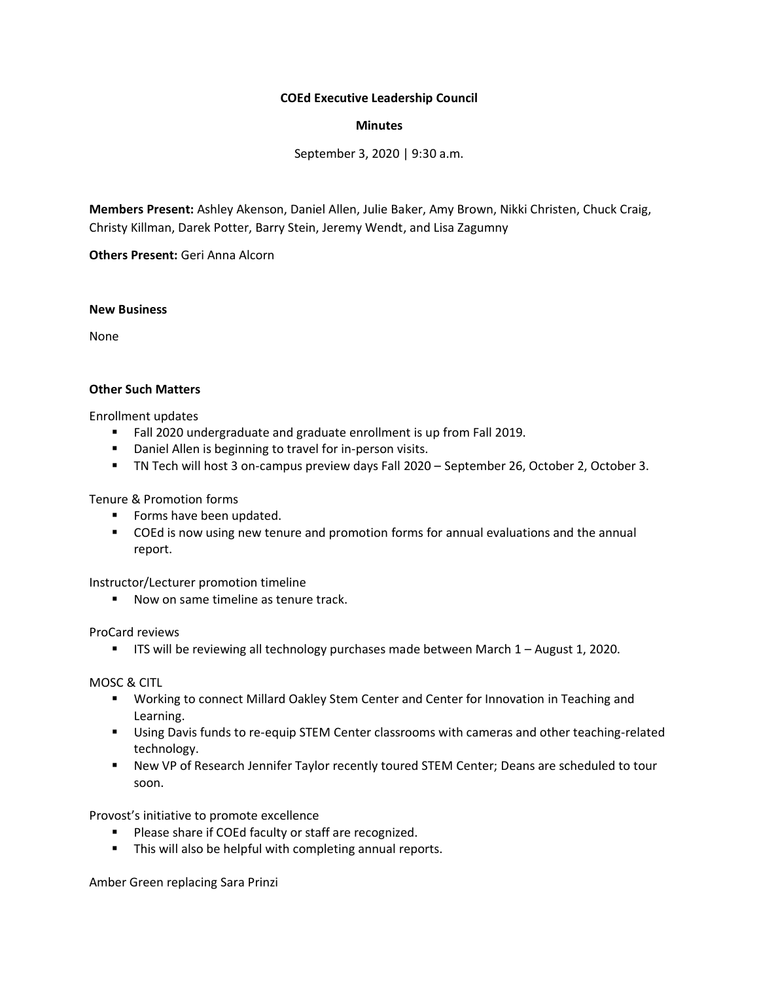## **COEd Executive Leadership Council**

### **Minutes**

September 3, 2020 | 9:30 a.m.

**Members Present:** Ashley Akenson, Daniel Allen, Julie Baker, Amy Brown, Nikki Christen, Chuck Craig, Christy Killman, Darek Potter, Barry Stein, Jeremy Wendt, and Lisa Zagumny

**Others Present:** Geri Anna Alcorn

#### **New Business**

None

### **Other Such Matters**

Enrollment updates

- Fall 2020 undergraduate and graduate enrollment is up from Fall 2019.
- Daniel Allen is beginning to travel for in-person visits.
- TN Tech will host 3 on-campus preview days Fall 2020 September 26, October 2, October 3.

Tenure & Promotion forms

- Forms have been updated.
- COEd is now using new tenure and promotion forms for annual evaluations and the annual report.

Instructor/Lecturer promotion timeline

■ Now on same timeline as tenure track.

ProCard reviews

**■** ITS will be reviewing all technology purchases made between March 1 - August 1, 2020.

MOSC & CITL

- Working to connect Millard Oakley Stem Center and Center for Innovation in Teaching and Learning.
- **■** Using Davis funds to re-equip STEM Center classrooms with cameras and other teaching-related technology.
- New VP of Research Jennifer Taylor recently toured STEM Center; Deans are scheduled to tour soon.

Provost's initiative to promote excellence

- Please share if COEd faculty or staff are recognized.
- This will also be helpful with completing annual reports.

Amber Green replacing Sara Prinzi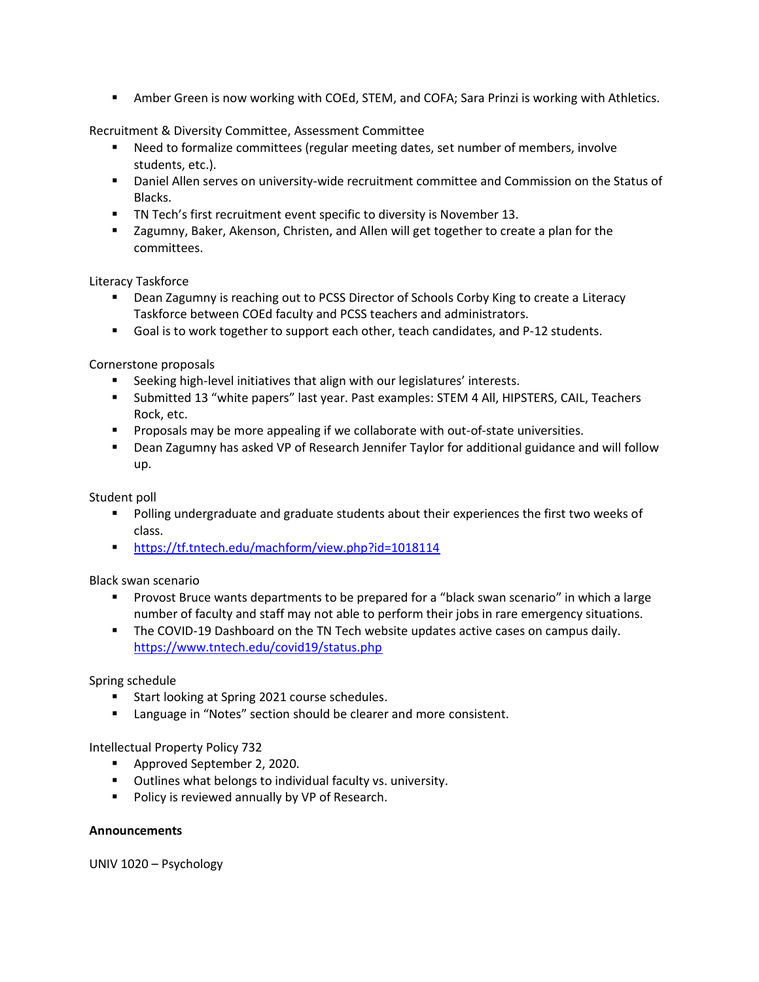**E** Amber Green is now working with COEd, STEM, and COFA; Sara Prinzi is working with Athletics.

Recruitment & Diversity Committee, Assessment Committee

- Need to formalize committees (regular meeting dates, set number of members, involve students, etc.).
- Daniel Allen serves on university-wide recruitment committee and Commission on the Status of Blacks.
- TN Tech's first recruitment event specific to diversity is November 13.
- Zagumny, Baker, Akenson, Christen, and Allen will get together to create a plan for the committees.

Literacy Taskforce

- Dean Zagumny is reaching out to PCSS Director of Schools Corby King to create a Literacy Taskforce between COEd faculty and PCSS teachers and administrators.
- Goal is to work together to support each other, teach candidates, and P-12 students.

Cornerstone proposals

- Seeking high-level initiatives that align with our legislatures' interests.
- Submitted 13 "white papers" last year. Past examples: STEM 4 All, HIPSTERS, CAIL, Teachers Rock, etc.
- **•** Proposals may be more appealing if we collaborate with out-of-state universities.
- **■** Dean Zagumny has asked VP of Research Jennifer Taylor for additional guidance and will follow up.

Student poll

- Polling undergraduate and graduate students about their experiences the first two weeks of class.
- <https://tf.tntech.edu/machform/view.php?id=1018114>

Black swan scenario

- **•** Provost Bruce wants departments to be prepared for a "black swan scenario" in which a large number of faculty and staff may not able to perform their jobs in rare emergency situations.
- **The COVID-19 Dashboard on the TN Tech website updates active cases on campus daily.** <https://www.tntech.edu/covid19/status.php>

# Spring schedule

- Start looking at Spring 2021 course schedules.
- Language in "Notes" section should be clearer and more consistent.

Intellectual Property Policy 732

- Approved September 2, 2020.
- Outlines what belongs to individual faculty vs. university.
- Policy is reviewed annually by VP of Research.

# **Announcements**

UNIV 1020 – Psychology